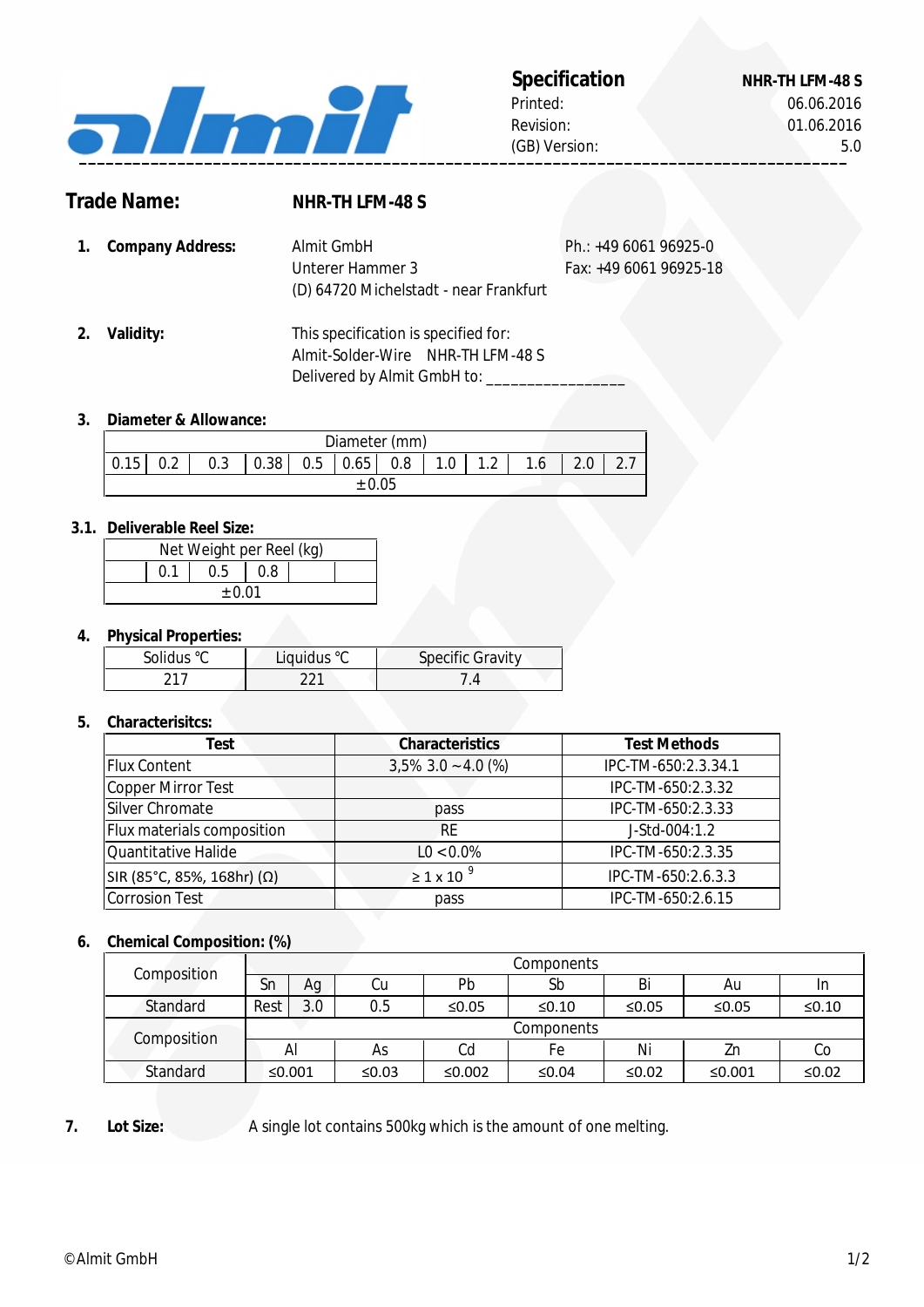

## **Specification NHR-TH LFM-48 S** Printed:

Revision:

06.06.2016 01.06.2016 (GB) Version: 5.0

# **Trade Name:**

# **NHR-TH LFM-48 S**

| 1. Company Address: | Almit GmbH                             | Ph.: $+49606196925-0$  |  |
|---------------------|----------------------------------------|------------------------|--|
|                     | Unterer Hammer 3                       | Fax: +49 6061 96925-18 |  |
|                     | (D) 64720 Michelstadt - near Frankfurt |                        |  |

**2. Validity:** Delivered by Almit GmbH to: \_ Almit-Solder-Wire NHR-TH LFM-48 S This specification is specified for:

### **3. Diameter & Allowance:**

| Diameter (mm) |     |     |      |     |      |     |     |                      |    |  |               |
|---------------|-----|-----|------|-----|------|-----|-----|----------------------|----|--|---------------|
| 0.15          | በ ን | 0.3 | 0.38 | 0.5 | 0.65 | 0.8 | 1.0 | 1 <sub>0</sub><br>٠Ž | 16 |  | $\sim$ $\sim$ |
|               |     |     |      |     |      |     |     |                      |    |  |               |

### **3.1. Deliverable Reel Size:**

| Net Weight per Reel (kg) |  |     |       |  |  |  |  |
|--------------------------|--|-----|-------|--|--|--|--|
|                          |  | 0.5 | l 0.8 |  |  |  |  |
| $+0.01$                  |  |     |       |  |  |  |  |

### **4. Physical Properties:**

| Solidus °C | Liquidus °C | <b>Specific Gravity</b> |
|------------|-------------|-------------------------|
| า1-        |             |                         |

### **5. Characterisitcs:**

| Test                       | <b>Characteristics</b> | <b>Test Methods</b> |
|----------------------------|------------------------|---------------------|
| <b>Flux Content</b>        | $3,5\%$ 3.0 ~ 4.0 (%)  | IPC-TM-650:2.3.34.1 |
| Copper Mirror Test         |                        | IPC-TM-650:2.3.32   |
| Silver Chromate            | pass                   | IPC-TM-650:2.3.33   |
| Flux materials composition | <b>RE</b>              | J-Std-004:1.2       |
| Quantitative Halide        | $LO < 0.0\%$           | IPC-TM-650:2.3.35   |
| SIR (85°C, 85%, 168hr) (Ω) | $\geq 1 \times 10^{9}$ | IPC-TM-650:2.6.3.3  |
| <b>Corrosion Test</b>      | pass                   | IPC-TM-650:2.6.15   |

### **6. Chemical Composition: (%)**

| Composition |            |        |       |        | Components |       |        |             |
|-------------|------------|--------|-------|--------|------------|-------|--------|-------------|
|             | Sn         | Αg     | Cu    | Pb     | Sb         | Bi    | Au     | In          |
| Standard    | Rest       | 3.0    | 0.5   | ≤0.05  | ≤ $0.10$   | ≤0.05 | ≤0.05  | $\leq 0.10$ |
| Composition | Components |        |       |        |            |       |        |             |
|             |            | Al     | As    | Cd     | Fe         | Ni    | Zn     | Co          |
| Standard    |            | ≤0.001 | ≤0.03 | ≤0.002 | ≤0.04      | ≤0.02 | ≤0.001 | $≤0.02$     |

#### **7. Lot Size:**

A single lot contains 500kg which is the amount of one melting.